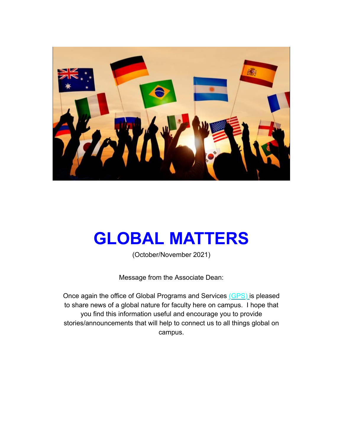

# **GLOBAL MATTERS**

(October/November 2021)

Message from the Associate Dean:

Once again the office of Global Programs and Services (GPS) is pleased to share news of a global nature for faculty here on campus. I hope that you find this information useful and encourage you to provide stories/announcements that will help to connect us to all things global on campus.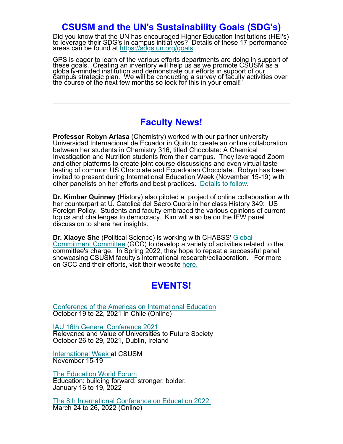#### **CSUSM and the UN's Sustainability Goals (SDG's)**

Did you know that the UN has encouraged Higher Education Institutions (HEI's) to leverage their SDG's in campus initiatives? Details of these 17 performance areas can be found at https://sdgs.un.org/goals.

GPS is eager to learn of the various efforts departments are doing in support of these goals. Creating an inventory will help us as we promote CSUSM as a globally-minded institution and demonstrate our efforts in support o

### **Faculty News!**

**Professor Robyn Ariasa** (Chemistry) worked with our partner university Universidad Internacional de Ecuador in Quito to create an online collaboration between her students in Chemistry 316, titled Chocolate: A Chemical Investigation and Nutrition students from their campus. They leveraged Zoom and other platforms to create joint course discussions and even virtual tastetesting of common US Chocolate and Ecuadorian Chocolate. Robyn has been invited to present during International Education Week (November 15-19) with other panelists on her efforts and best practices. Details to follow.

**Dr. Kimber Quinney** (History) also piloted a project of online collaboration with her counterpart at U. Catolica del Sacro Cuore in her class History 349: US Foreign Policy. Students and faculty embraced the various opinions of current topics and challenges to democracy. Kim will also be on the IEW panel discussion to share her insights.

**Dr. Xiaoye She** (Political Science) is working with CHABSS' Global Commitment Committee (GCC) to develop a variety of activities related to the committee's charge. In Spring 2022, they hope to repeat a successful panel showcasing CSUSM faculty's international research/collaboration. For more on GCC and their efforts, visit their website here.

### **EVENTS!**

Conference of the Americas on International Education October 19 to 22, 2021 in Chile (Online)

IAU 16th General Conference 2021 Relevance and Value of Universities to Future Society October 26 to 29, 2021, Dublin, Ireland

International Week at CSUSM November 15-19

The Education World Forum Education: building forward; stronger, bolder. January 16 to 19, 2022

The 8th International Conference on Education 2022 March 24 to 26, 2022 (Online)